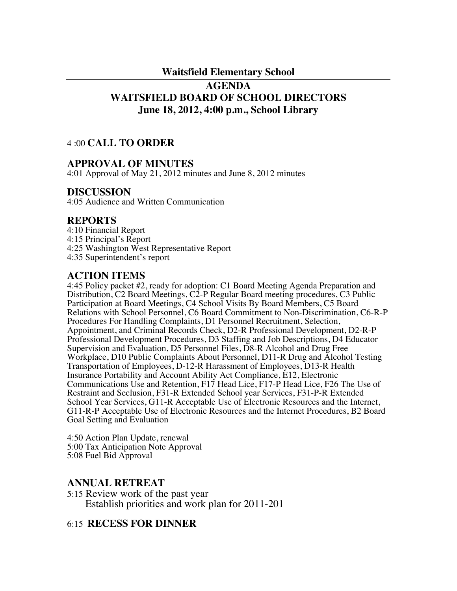#### **Waitsfield Elementary School**

# **AGENDA WAITSFIELD BOARD OF SCHOOL DIRECTORS June 18, 2012, 4:00 p.m., School Library**

### 4 :00 **CALL TO ORDER**

### **APPROVAL OF MINUTES**

4:01 Approval of May 21, 2012 minutes and June 8, 2012 minutes

### **DISCUSSION**

4:05 Audience and Written Communication

### **REPORTS**

4:10 Financial Report

4:15 Principal's Report

- 4:25 Washington West Representative Report
- 4:35 Superintendent's report

# **ACTION ITEMS**

4:45 Policy packet #2, ready for adoption: C1 Board Meeting Agenda Preparation and Distribution, C2 Board Meetings, C2-P Regular Board meeting procedures, C3 Public Participation at Board Meetings, C4 School Visits By Board Members, C5 Board Relations with School Personnel, C6 Board Commitment to Non-Discrimination, C6-R-P Procedures For Handling Complaints, D1 Personnel Recruitment, Selection, Appointment, and Criminal Records Check, D2-R Professional Development, D2-R-P Professional Development Procedures, D3 Staffing and Job Descriptions, D4 Educator Supervision and Evaluation, D5 Personnel Files, D8-R Alcohol and Drug Free Workplace, D10 Public Complaints About Personnel, D11-R Drug and Alcohol Testing Transportation of Employees, D-12-R Harassment of Employees, D13-R Health Insurance Portability and Account Ability Act Compliance, E12, Electronic Communications Use and Retention, F17 Head Lice, F17-P Head Lice, F26 The Use of Restraint and Seclusion, F31-R Extended School year Services, F31-P-R Extended School Year Services, G11-R Acceptable Use of Electronic Resources and the Internet, G11-R-P Acceptable Use of Electronic Resources and the Internet Procedures, B2 Board Goal Setting and Evaluation

4:50 Action Plan Update, renewal 5:00 Tax Anticipation Note Approval 5:08 Fuel Bid Approval

### **ANNUAL RETREAT**

5:15 Review work of the past year Establish priorities and work plan for 2011-201

# 6:15 **RECESS FOR DINNER**